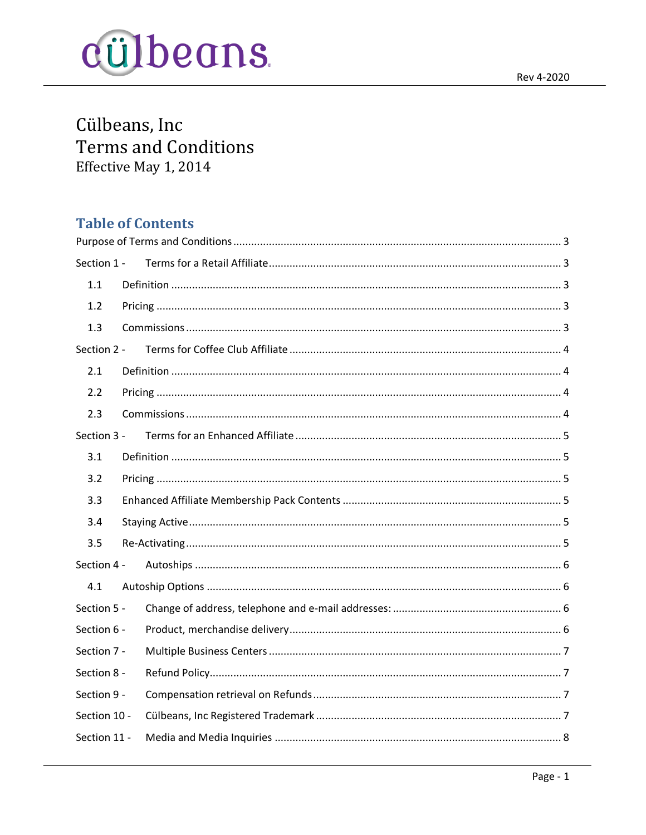

Cülbeans, Inc **Terms and Conditions** Effective May 1, 2014

# **Table of Contents**

| Section 1 -  |  |  |  |  |
|--------------|--|--|--|--|
| 1.1          |  |  |  |  |
| 1.2          |  |  |  |  |
| 1.3          |  |  |  |  |
| Section 2 -  |  |  |  |  |
| 2.1          |  |  |  |  |
| 2.2          |  |  |  |  |
| 2.3          |  |  |  |  |
| Section 3 -  |  |  |  |  |
| 3.1          |  |  |  |  |
| 3.2          |  |  |  |  |
| 3.3          |  |  |  |  |
| 3.4          |  |  |  |  |
| 3.5          |  |  |  |  |
| Section 4 -  |  |  |  |  |
| 4.1          |  |  |  |  |
| Section 5 -  |  |  |  |  |
| Section 6 -  |  |  |  |  |
| Section 7 -  |  |  |  |  |
| Section 8 -  |  |  |  |  |
| Section 9 -  |  |  |  |  |
| Section 10 - |  |  |  |  |
| Section 11 - |  |  |  |  |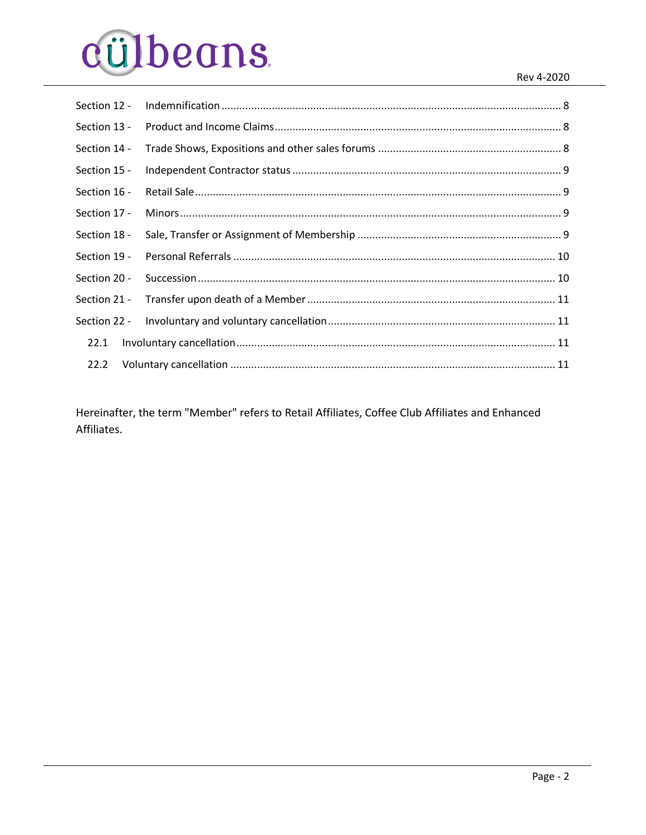# cülbeans.

| Section 12 - |  |
|--------------|--|
| Section 13 - |  |
| Section 14 - |  |
| Section 15 - |  |
| Section 16 - |  |
| Section 17 - |  |
| Section 18 - |  |
| Section 19 - |  |
| Section 20 - |  |
| Section 21 - |  |
| Section 22 - |  |
| 22.1         |  |
| 22.2         |  |

Hereinafter, the term "Member" refers to Retail Affiliates, Coffee Club Affiliates and Enhanced Affiliates.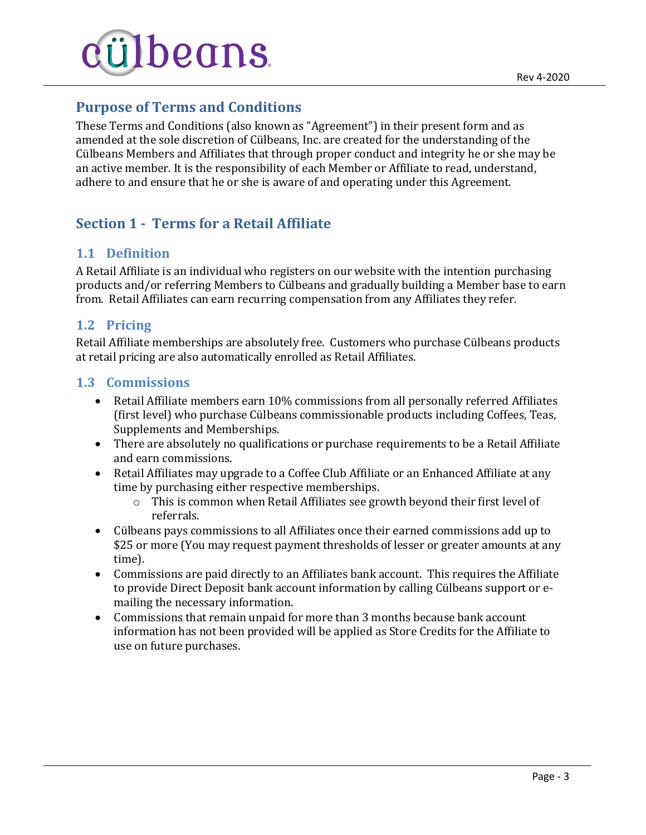

# <span id="page-2-0"></span>**Purpose of Terms and Conditions**

These Terms and Conditions (also known as "Agreement") in their present form and as amended at the sole discretion of Cülbeans, Inc. are created for the understanding of the Cülbeans Members and Affiliates that through proper conduct and integrity he or she may be an active member. It is the responsibility of each Member or Affiliate to read, understand, adhere to and ensure that he or she is aware of and operating under this Agreement.

# <span id="page-2-1"></span>**Section 1 - Terms for a Retail Affiliate**

#### <span id="page-2-2"></span>**1.1 Definition**

A Retail Affiliate is an individual who registers on our website with the intention purchasing products and/or referring Members to Cülbeans and gradually building a Member base to earn from. Retail Affiliates can earn recurring compensation from any Affiliates they refer.

#### <span id="page-2-3"></span>**1.2 Pricing**

Retail Affiliate memberships are absolutely free. Customers who purchase Cülbeans products at retail pricing are also automatically enrolled as Retail Affiliates.

#### <span id="page-2-4"></span>**1.3 Commissions**

- Retail Affiliate members earn 10% commissions from all personally referred Affiliates (first level) who purchase Cülbeans commissionable products including Coffees, Teas, Supplements and Memberships.
- There are absolutely no qualifications or purchase requirements to be a Retail Affiliate and earn commissions.
- Retail Affiliates may upgrade to a Coffee Club Affiliate or an Enhanced Affiliate at any time by purchasing either respective memberships.
	- $\circ$  This is common when Retail Affiliates see growth beyond their first level of referrals.
- Cülbeans pays commissions to all Affiliates once their earned commissions add up to \$25 or more (You may request payment thresholds of lesser or greater amounts at any time).
- Commissions are paid directly to an Affiliates bank account. This requires the Affiliate to provide Direct Deposit bank account information by calling Cülbeans support or emailing the necessary information.
- Commissions that remain unpaid for more than 3 months because bank account information has not been provided will be applied as Store Credits for the Affiliate to use on future purchases.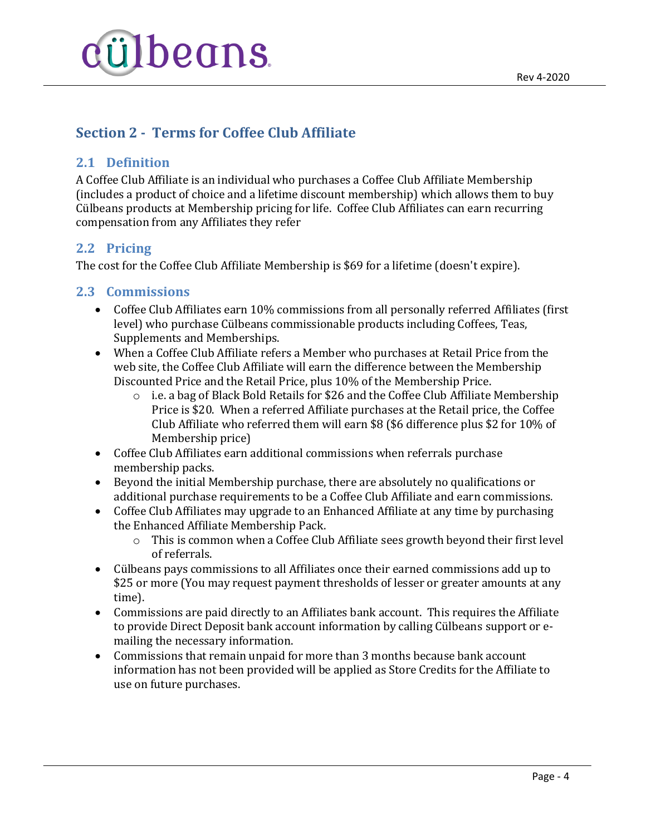

# <span id="page-3-0"></span>**Section 2 - Terms for Coffee Club Affiliate**

#### <span id="page-3-1"></span>**2.1 Definition**

A Coffee Club Affiliate is an individual who purchases a Coffee Club Affiliate Membership (includes a product of choice and a lifetime discount membership) which allows them to buy Cülbeans products at Membership pricing for life. Coffee Club Affiliates can earn recurring compensation from any Affiliates they refer

#### <span id="page-3-2"></span>**2.2 Pricing**

The cost for the Coffee Club Affiliate Membership is \$69 for a lifetime (doesn't expire).

#### <span id="page-3-3"></span>**2.3 Commissions**

- Coffee Club Affiliates earn 10% commissions from all personally referred Affiliates (first level) who purchase Cülbeans commissionable products including Coffees, Teas, Supplements and Memberships.
- When a Coffee Club Affiliate refers a Member who purchases at Retail Price from the web site, the Coffee Club Affiliate will earn the difference between the Membership Discounted Price and the Retail Price, plus 10% of the Membership Price.
	- o i.e. a bag of Black Bold Retails for \$26 and the Coffee Club Affiliate Membership Price is \$20. When a referred Affiliate purchases at the Retail price, the Coffee Club Affiliate who referred them will earn \$8 (\$6 difference plus \$2 for 10% of Membership price)
- Coffee Club Affiliates earn additional commissions when referrals purchase membership packs.
- Beyond the initial Membership purchase, there are absolutely no qualifications or additional purchase requirements to be a Coffee Club Affiliate and earn commissions.
- Coffee Club Affiliates may upgrade to an Enhanced Affiliate at any time by purchasing the Enhanced Affiliate Membership Pack.
	- o This is common when a Coffee Club Affiliate sees growth beyond their first level of referrals.
- Cülbeans pays commissions to all Affiliates once their earned commissions add up to \$25 or more (You may request payment thresholds of lesser or greater amounts at any time).
- Commissions are paid directly to an Affiliates bank account. This requires the Affiliate to provide Direct Deposit bank account information by calling Cülbeans support or emailing the necessary information.
- Commissions that remain unpaid for more than 3 months because bank account information has not been provided will be applied as Store Credits for the Affiliate to use on future purchases.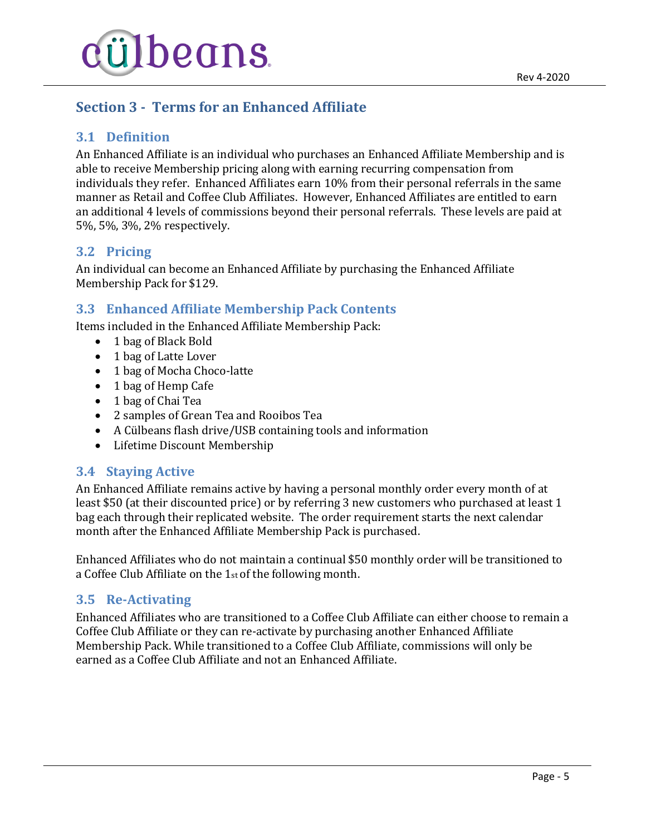

# <span id="page-4-0"></span>**Section 3 - Terms for an Enhanced Affiliate**

## <span id="page-4-1"></span>**3.1 Definition**

An Enhanced Affiliate is an individual who purchases an Enhanced Affiliate Membership and is able to receive Membership pricing along with earning recurring compensation from individuals they refer. Enhanced Affiliates earn 10% from their personal referrals in the same manner as Retail and Coffee Club Affiliates. However, Enhanced Affiliates are entitled to earn an additional 4 levels of commissions beyond their personal referrals. These levels are paid at 5%, 5%, 3%, 2% respectively.

### <span id="page-4-2"></span>**3.2 Pricing**

An individual can become an Enhanced Affiliate by purchasing the Enhanced Affiliate Membership Pack for \$129.

### <span id="page-4-3"></span>**3.3 Enhanced Affiliate Membership Pack Contents**

Items included in the Enhanced Affiliate Membership Pack:

- 1 bag of Black Bold
- 1 bag of Latte Lover
- 1 bag of Mocha Choco-latte
- 1 bag of Hemp Cafe
- 1 bag of Chai Tea
- 2 samples of Grean Tea and Rooibos Tea
- A Cülbeans flash drive/USB containing tools and information
- Lifetime Discount Membership

#### <span id="page-4-4"></span>**3.4 Staying Active**

An Enhanced Affiliate remains active by having a personal monthly order every month of at least \$50 (at their discounted price) or by referring 3 new customers who purchased at least 1 bag each through their replicated website. The order requirement starts the next calendar month after the Enhanced Affiliate Membership Pack is purchased.

Enhanced Affiliates who do not maintain a continual \$50 monthly order will be transitioned to a Coffee Club Affiliate on the 1st of the following month.

#### <span id="page-4-5"></span>**3.5 Re-Activating**

Enhanced Affiliates who are transitioned to a Coffee Club Affiliate can either choose to remain a Coffee Club Affiliate or they can re-activate by purchasing another Enhanced Affiliate Membership Pack. While transitioned to a Coffee Club Affiliate, commissions will only be earned as a Coffee Club Affiliate and not an Enhanced Affiliate.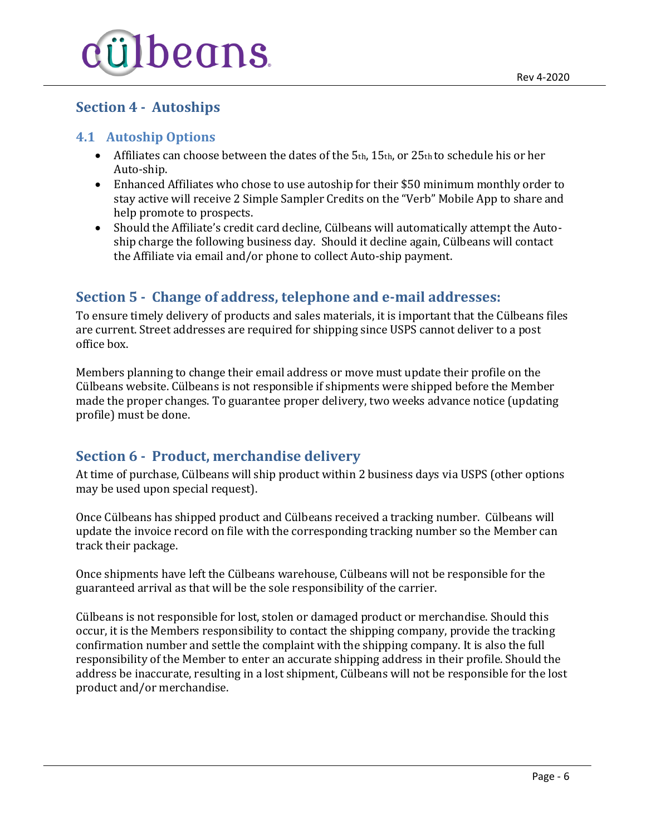

## <span id="page-5-0"></span>**Section 4 - Autoships**

#### <span id="page-5-1"></span>**4.1 Autoship Options**

- $\bullet$  Affiliates can choose between the dates of the 5th, 15th, or 25th to schedule his or her Auto-ship.
- Enhanced Affiliates who chose to use autoship for their \$50 minimum monthly order to stay active will receive 2 Simple Sampler Credits on the "Verb" Mobile App to share and help promote to prospects.
- Should the Affiliate's credit card decline, Cülbeans will automatically attempt the Autoship charge the following business day. Should it decline again, Cülbeans will contact the Affiliate via email and/or phone to collect Auto-ship payment.

## <span id="page-5-2"></span>**Section 5 - Change of address, telephone and e-mail addresses:**

To ensure timely delivery of products and sales materials, it is important that the Cülbeans files are current. Street addresses are required for shipping since USPS cannot deliver to a post office box.

Members planning to change their email address or move must update their profile on the Cülbeans website. Cülbeans is not responsible if shipments were shipped before the Member made the proper changes. To guarantee proper delivery, two weeks advance notice (updating profile) must be done.

## <span id="page-5-3"></span>**Section 6 - Product, merchandise delivery**

At time of purchase, Cülbeans will ship product within 2 business days via USPS (other options may be used upon special request).

Once Cülbeans has shipped product and Cülbeans received a tracking number. Cülbeans will update the invoice record on file with the corresponding tracking number so the Member can track their package.

Once shipments have left the Cülbeans warehouse, Cülbeans will not be responsible for the guaranteed arrival as that will be the sole responsibility of the carrier.

Cülbeans is not responsible for lost, stolen or damaged product or merchandise. Should this occur, it is the Members responsibility to contact the shipping company, provide the tracking confirmation number and settle the complaint with the shipping company. It is also the full responsibility of the Member to enter an accurate shipping address in their profile. Should the address be inaccurate, resulting in a lost shipment, Cülbeans will not be responsible for the lost product and/or merchandise.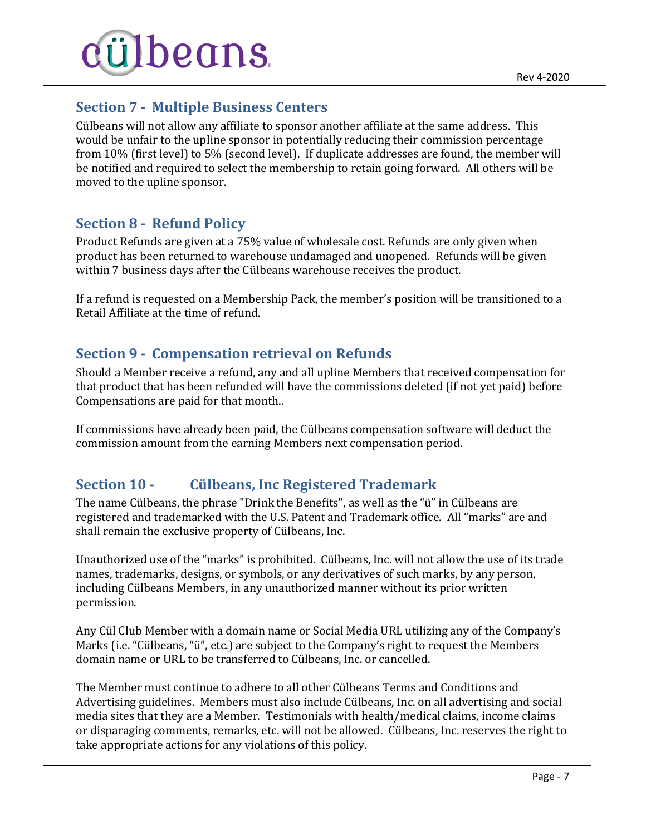

## <span id="page-6-0"></span>**Section 7 - Multiple Business Centers**

Cülbeans will not allow any affiliate to sponsor another affiliate at the same address. This would be unfair to the upline sponsor in potentially reducing their commission percentage from 10% (first level) to 5% (second level). If duplicate addresses are found, the member will be notified and required to select the membership to retain going forward. All others will be moved to the upline sponsor.

## <span id="page-6-1"></span>**Section 8 - Refund Policy**

Product Refunds are given at a 75% value of wholesale cost. Refunds are only given when product has been returned to warehouse undamaged and unopened. Refunds will be given within 7 business days after the Cülbeans warehouse receives the product.

If a refund is requested on a Membership Pack, the member's position will be transitioned to a Retail Affiliate at the time of refund.

## <span id="page-6-2"></span>**Section 9 - Compensation retrieval on Refunds**

Should a Member receive a refund, any and all upline Members that received compensation for that product that has been refunded will have the commissions deleted (if not yet paid) before Compensations are paid for that month..

If commissions have already been paid, the Cülbeans compensation software will deduct the commission amount from the earning Members next compensation period.

## <span id="page-6-3"></span>**Section 10 - Cülbeans, Inc Registered Trademark**

The name Cülbeans, the phrase "Drink the Benefits", as well as the "ü" in Cülbeans are registered and trademarked with the U.S. Patent and Trademark office. All "marks" are and shall remain the exclusive property of Cülbeans, Inc.

Unauthorized use of the "marks" is prohibited. Cülbeans, Inc. will not allow the use of its trade names, trademarks, designs, or symbols, or any derivatives of such marks, by any person, including Cülbeans Members, in any unauthorized manner without its prior written permission.

Any Cül Club Member with a domain name or Social Media URL utilizing any of the Company's Marks (i.e. "Cülbeans, "ü", etc.) are subject to the Company's right to request the Members domain name or URL to be transferred to Cülbeans, Inc. or cancelled.

The Member must continue to adhere to all other Cülbeans Terms and Conditions and Advertising guidelines. Members must also include Cülbeans, Inc. on all advertising and social media sites that they are a Member. Testimonials with health/medical claims, income claims or disparaging comments, remarks, etc. will not be allowed. Cülbeans, Inc. reserves the right to take appropriate actions for any violations of this policy.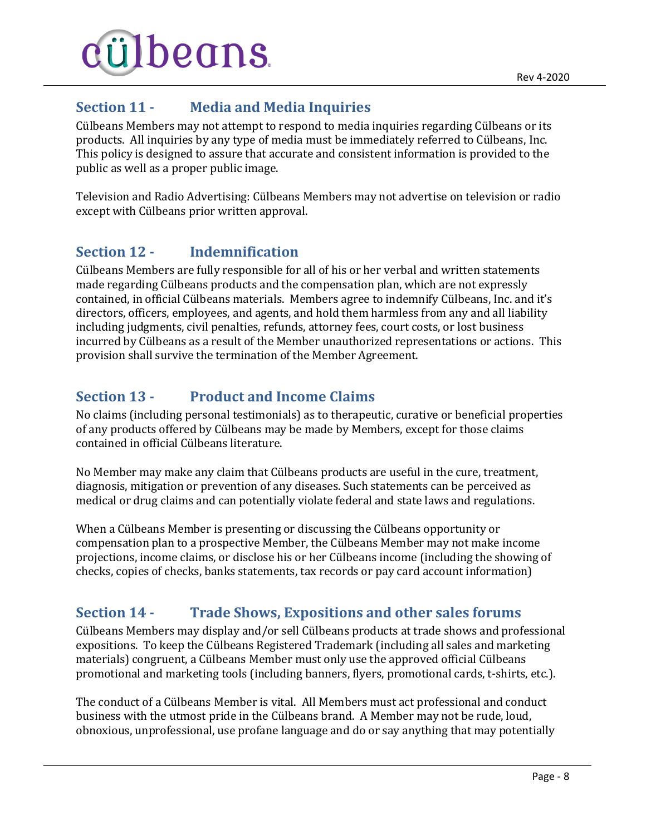

## <span id="page-7-0"></span>**Section 11 - Media and Media Inquiries**

Cülbeans Members may not attempt to respond to media inquiries regarding Cülbeans or its products. All inquiries by any type of media must be immediately referred to Cülbeans, Inc. This policy is designed to assure that accurate and consistent information is provided to the public as well as a proper public image.

Television and Radio Advertising: Cülbeans Members may not advertise on television or radio except with Cülbeans prior written approval.

# <span id="page-7-1"></span>**Section 12 - Indemnification**

Cülbeans Members are fully responsible for all of his or her verbal and written statements made regarding Cülbeans products and the compensation plan, which are not expressly contained, in official Cülbeans materials. Members agree to indemnify Cülbeans, Inc. and it's directors, officers, employees, and agents, and hold them harmless from any and all liability including judgments, civil penalties, refunds, attorney fees, court costs, or lost business incurred by Cülbeans as a result of the Member unauthorized representations or actions. This provision shall survive the termination of the Member Agreement.

## <span id="page-7-2"></span>**Section 13 - Product and Income Claims**

No claims (including personal testimonials) as to therapeutic, curative or beneficial properties of any products offered by Cülbeans may be made by Members, except for those claims contained in official Cülbeans literature.

No Member may make any claim that Cülbeans products are useful in the cure, treatment, diagnosis, mitigation or prevention of any diseases. Such statements can be perceived as medical or drug claims and can potentially violate federal and state laws and regulations.

When a Cülbeans Member is presenting or discussing the Cülbeans opportunity or compensation plan to a prospective Member, the Cülbeans Member may not make income projections, income claims, or disclose his or her Cülbeans income (including the showing of checks, copies of checks, banks statements, tax records or pay card account information)

# <span id="page-7-3"></span>**Section 14 - Trade Shows, Expositions and other sales forums**

Cülbeans Members may display and/or sell Cülbeans products at trade shows and professional expositions. To keep the Cülbeans Registered Trademark (including all sales and marketing materials) congruent, a Cülbeans Member must only use the approved official Cülbeans promotional and marketing tools (including banners, flyers, promotional cards, t-shirts, etc.).

The conduct of a Cülbeans Member is vital. All Members must act professional and conduct business with the utmost pride in the Cülbeans brand. A Member may not be rude, loud, obnoxious, unprofessional, use profane language and do or say anything that may potentially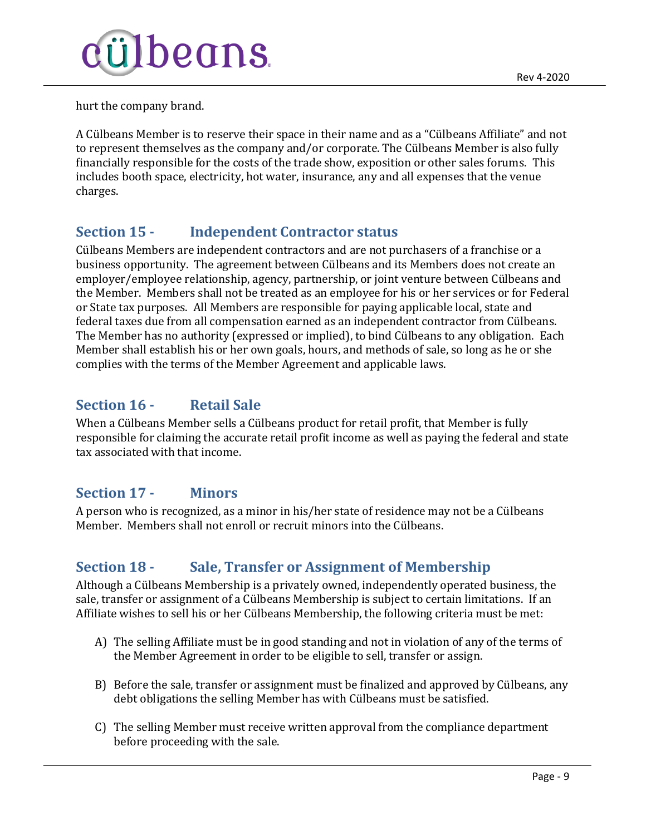

hurt the company brand.

A Cülbeans Member is to reserve their space in their name and as a "Cülbeans Affiliate" and not to represent themselves as the company and/or corporate. The Cülbeans Member is also fully financially responsible for the costs of the trade show, exposition or other sales forums. This includes booth space, electricity, hot water, insurance, any and all expenses that the venue charges.

## <span id="page-8-0"></span>**Section 15 - Independent Contractor status**

Cülbeans Members are independent contractors and are not purchasers of a franchise or a business opportunity. The agreement between Cülbeans and its Members does not create an employer/employee relationship, agency, partnership, or joint venture between Cülbeans and the Member. Members shall not be treated as an employee for his or her services or for Federal or State tax purposes. All Members are responsible for paying applicable local, state and federal taxes due from all compensation earned as an independent contractor from Cülbeans. The Member has no authority (expressed or implied), to bind Cülbeans to any obligation. Each Member shall establish his or her own goals, hours, and methods of sale, so long as he or she complies with the terms of the Member Agreement and applicable laws.

## <span id="page-8-1"></span>**Section 16 - Retail Sale**

When a Cülbeans Member sells a Cülbeans product for retail profit, that Member is fully responsible for claiming the accurate retail profit income as well as paying the federal and state tax associated with that income.

#### <span id="page-8-2"></span>**Section 17 - Minors**

A person who is recognized, as a minor in his/her state of residence may not be a Cülbeans Member. Members shall not enroll or recruit minors into the Cülbeans.

# <span id="page-8-3"></span>**Section 18 - Sale, Transfer or Assignment of Membership**

Although a Cülbeans Membership is a privately owned, independently operated business, the sale, transfer or assignment of a Cülbeans Membership is subject to certain limitations. If an Affiliate wishes to sell his or her Cülbeans Membership, the following criteria must be met:

- A) The selling Affiliate must be in good standing and not in violation of any of the terms of the Member Agreement in order to be eligible to sell, transfer or assign.
- B) Before the sale, transfer or assignment must be finalized and approved by Cülbeans, any debt obligations the selling Member has with Cülbeans must be satisfied.
- C) The selling Member must receive written approval from the compliance department before proceeding with the sale.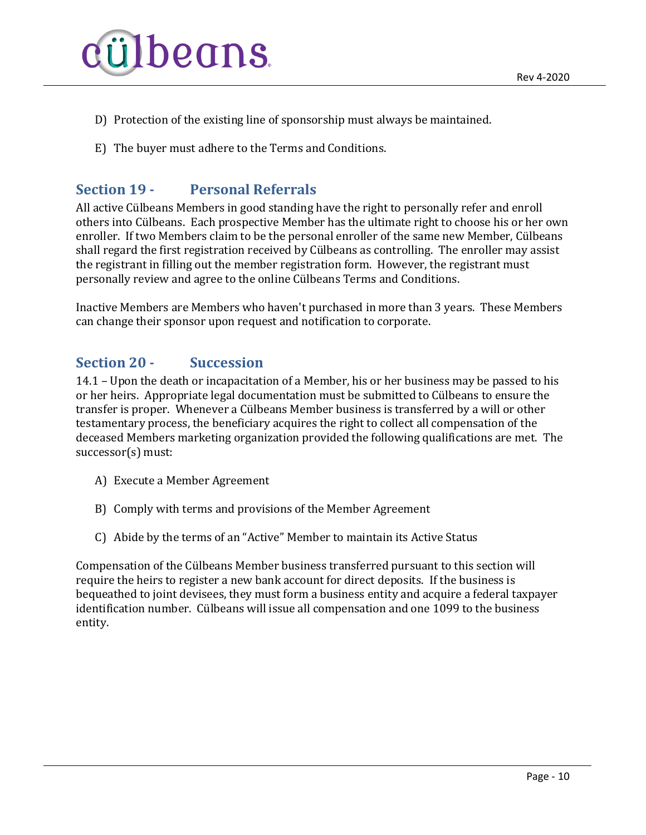

- D) Protection of the existing line of sponsorship must always be maintained.
- <span id="page-9-0"></span>E) The buyer must adhere to the Terms and Conditions.

## **Section 19 - Personal Referrals**

All active Cülbeans Members in good standing have the right to personally refer and enroll others into Cülbeans. Each prospective Member has the ultimate right to choose his or her own enroller. If two Members claim to be the personal enroller of the same new Member, Cülbeans shall regard the first registration received by Cülbeans as controlling. The enroller may assist the registrant in filling out the member registration form. However, the registrant must personally review and agree to the online Cülbeans Terms and Conditions.

Inactive Members are Members who haven't purchased in more than 3 years. These Members can change their sponsor upon request and notification to corporate.

#### <span id="page-9-1"></span>**Section 20 - Succession**

14.1 – Upon the death or incapacitation of a Member, his or her business may be passed to his or her heirs. Appropriate legal documentation must be submitted to Cülbeans to ensure the transfer is proper. Whenever a Cülbeans Member business is transferred by a will or other testamentary process, the beneficiary acquires the right to collect all compensation of the deceased Members marketing organization provided the following qualifications are met. The successor(s) must:

- A) Execute a Member Agreement
- B) Comply with terms and provisions of the Member Agreement
- C) Abide by the terms of an "Active" Member to maintain its Active Status

Compensation of the Cülbeans Member business transferred pursuant to this section will require the heirs to register a new bank account for direct deposits. If the business is bequeathed to joint devisees, they must form a business entity and acquire a federal taxpayer identification number. Cülbeans will issue all compensation and one 1099 to the business entity.